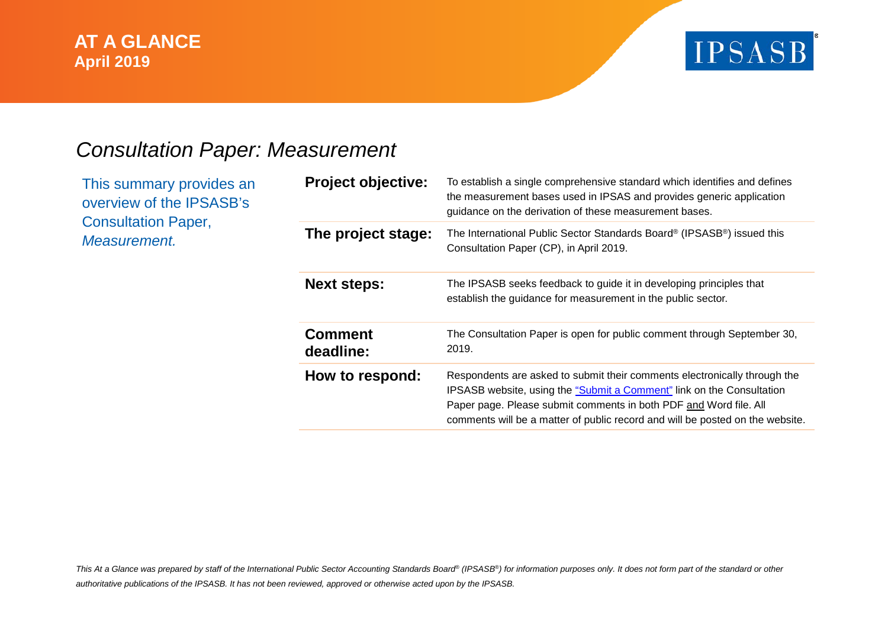### **AT A GLANCE July 2015 April 2019**



## *Consultation Paper: Measurement*

This summary provides an overview of the IPSASB's Consultation Paper, *Measurement.*

| <b>Project objective:</b>   | To establish a single comprehensive standard which identifies and defines<br>the measurement bases used in IPSAS and provides generic application<br>guidance on the derivation of these measurement bases.                                                                                              |
|-----------------------------|----------------------------------------------------------------------------------------------------------------------------------------------------------------------------------------------------------------------------------------------------------------------------------------------------------|
| The project stage:          | The International Public Sector Standards Board® (IPSASB®) issued this<br>Consultation Paper (CP), in April 2019.                                                                                                                                                                                        |
| <b>Next steps:</b>          | The IPSASB seeks feedback to guide it in developing principles that<br>establish the guidance for measurement in the public sector.                                                                                                                                                                      |
| <b>Comment</b><br>deadline: | The Consultation Paper is open for public comment through September 30,<br>2019.                                                                                                                                                                                                                         |
| How to respond:             | Respondents are asked to submit their comments electronically through the<br>IPSASB website, using the "Submit a Comment" link on the Consultation<br>Paper page. Please submit comments in both PDF and Word file. All<br>comments will be a matter of public record and will be posted on the website. |

*This At a Glance was prepared by staff of the International Public Sector Accounting Standards Board® (IPSASB®) for information purposes only. It does not form part of the standard or other authoritative publications of the IPSASB. It has not been reviewed, approved or otherwise acted upon by the IPSASB.*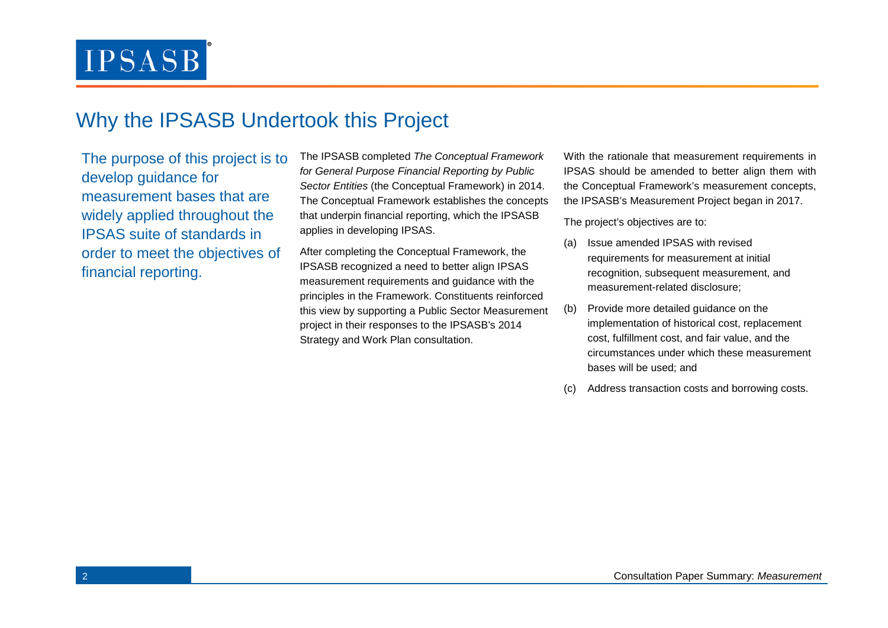## Why the IPSASB Undertook this Project

The purpose of this project is to develop guidance for measurement bases that are widely applied throughout the IPSAS suite of standards in order to meet the objectives of financial reporting.

The IPSASB completed *The Conceptual Framework for General Purpose Financial Reporting by Public Sector Entities* (the Conceptual Framework) in 2014. The Conceptual Framework establishes the concepts that underpin financial reporting, which the IPSASB applies in developing IPSAS.

After completing the Conceptual Framework, the IPSASB recognized a need to better align IPSAS measurement requirements and guidance with the principles in the Framework. Constituents reinforced this view by supporting a Public Sector Measurement project in their responses to the IPSASB's 2014 Strategy and Work Plan consultation.

With the rationale that measurement requirements in IPSAS should be amended to better align them with the Conceptual Framework's measurement concepts, the IPSASB's Measurement Project began in 2017.

The project's objectives are to:

- (a) Issue amended IPSAS with revised requirements for measurement at initial recognition, subsequent measurement, and measurement-related disclosure;
- (b) Provide more detailed guidance on the implementation of historical cost, replacement cost, fulfillment cost, and fair value, and the circumstances under which these measurement bases will be used; and
- Address transaction costs and borrowing costs.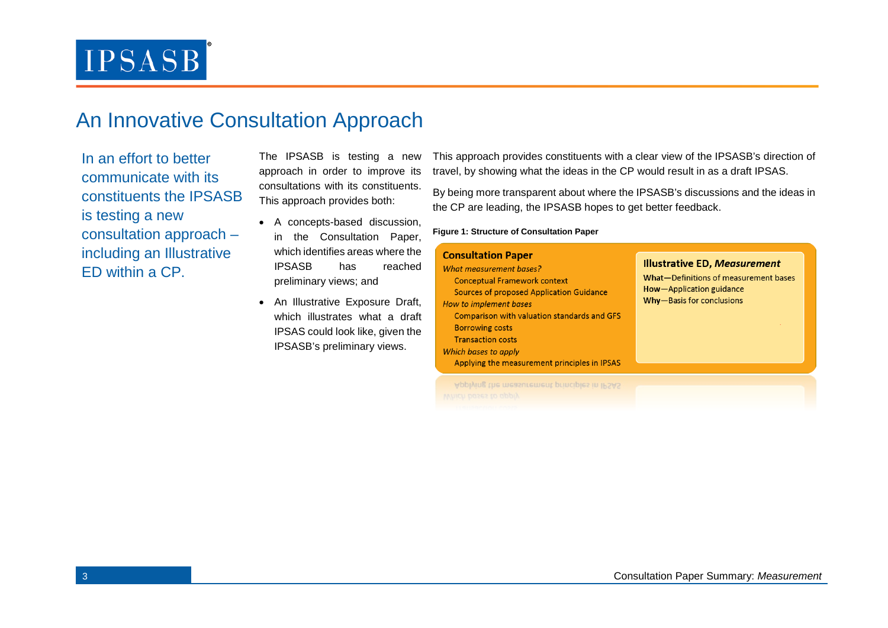## An Innovative Consultation Approach

In an effort to better communicate with its constituents the IPSASB is testing a new consultation approach – including an Illustrative ED within a CP.

The IPSASB is testing a new approach in order to improve its consultations with its constituents. This approach provides both:

- A concepts-based discussion, in the Consultation Paper, which identifies areas where the IPSASB has reache preliminary views; and
- An Illustrative Exposure Dra which illustrates what a dra IPSAS could look like, given th IPSASB's preliminary views.

This approach provides constituents with a clear view of the IPSASB's direction of travel, by showing what the ideas in the CP would result in as a draft IPSAS.

By being more transparent about where the IPSASB's discussions and the ideas in the CP are leading, the IPSASB hopes to get better feedback.

**Figure 1: Structure of Consultation Paper**

| ٦e<br>эd<br>ft,<br>aft<br>٦e | <b>Consultation Paper</b><br>What measurement bases?<br><b>Conceptual Framework context</b><br>Sources of proposed Application Guidance<br>How to implement bases<br>Comparison with valuation standards and GFS<br><b>Borrowing costs</b> | <b>Illustrative ED, Measurement</b><br>What-Definitions of measurement bases<br>How-Application guidance<br>Why-Basis for conclusions |
|------------------------------|--------------------------------------------------------------------------------------------------------------------------------------------------------------------------------------------------------------------------------------------|---------------------------------------------------------------------------------------------------------------------------------------|
|                              | <b>Transaction costs</b><br>Which bases to apply<br>Applying the measurement principles in IPSAS                                                                                                                                           |                                                                                                                                       |

Applying the measurement principles in IPSAS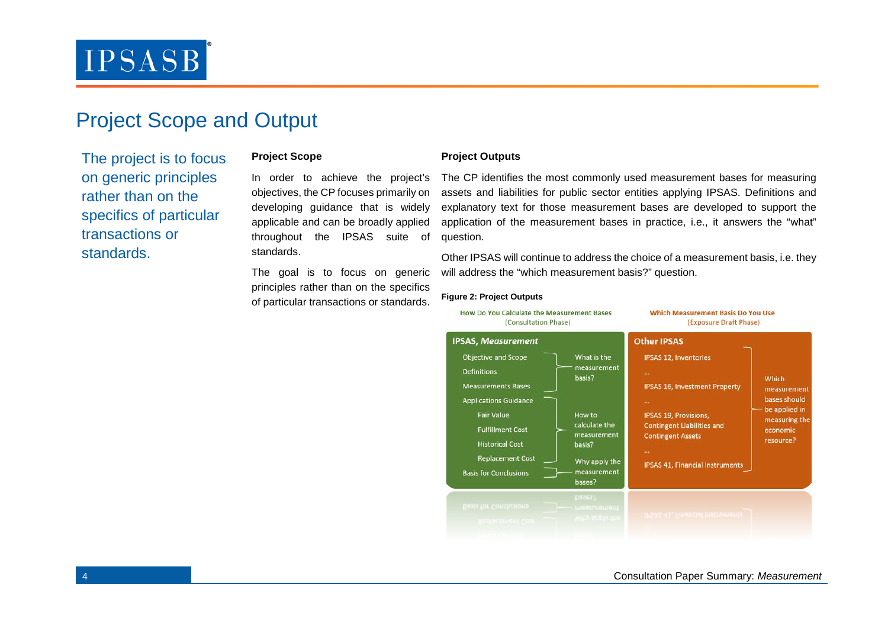## Project Scope and Output

The project is to focus on generic principles rather than on the specifics of particular transactions or standards.

### **Project Scope**

In order to achieve the project's objectives, the CP focuses primarily on developing guidance that is widely applicable and can be broadly applied throughout the IPSAS suite of standards.

The goal is to focus on generic principles rather than on the specifics of particular transactions or standards.

#### **Project Outputs**

The CP identifies the most commonly used measurement bases for measuring assets and liabilities for public sector entities applying IPSAS. Definitions and explanatory text for those measurement bases are developed to support the application of the measurement bases in practice, i.e., it answers the "what" question.

Other IPSAS will continue to address the choice of a measurement basis, i.e. they will address the "which measurement basis?" question.

#### **Figure 2: Project Outputs**

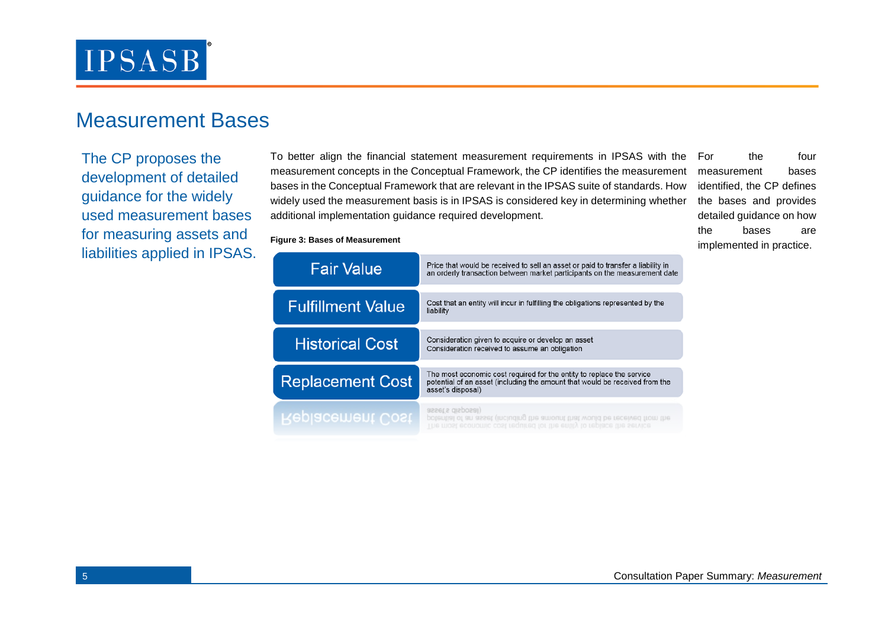

### Measurement Bases

The CP proposes the development of detailed guidance for the widely used measurement bases for measuring assets and liabilities applied in IPSAS. To better align the financial statement measurement requirements in IPSAS with the measurement concepts in the Conceptual Framework, the CP identifies the measurement bases in the Conceptual Framework that are relevant in the IPSAS suite of standards. How widely used the measurement basis is in IPSAS is considered key in determining whether additional implementation guidance required development.

measurement bases identified, the CP defines the bases and provides detailed guidance on how the bases are implemented in practice.

the four

| <b>Fair Value</b>        | Price that would be received to sell an asset or paid to transfer a liability in<br>an orderly transaction between market participants on the measurement date            |
|--------------------------|---------------------------------------------------------------------------------------------------------------------------------------------------------------------------|
| <b>Fulfillment Value</b> | Cost that an entity will incur in fulfilling the obligations represented by the<br>liability                                                                              |
| <b>Historical Cost</b>   | Consideration given to acquire or develop an asset<br>Consideration received to assume an obligation                                                                      |
| <b>Replacement Cost</b>  | The most economic cost required for the entity to replace the service<br>potential of an asset (including the amount that would be received from the<br>asset's disposal) |
| Replacement Cost         | asset s disposal)<br>potential of an asset (including the amount that would be received from the<br>The most economic cost required for the entity to replace the service |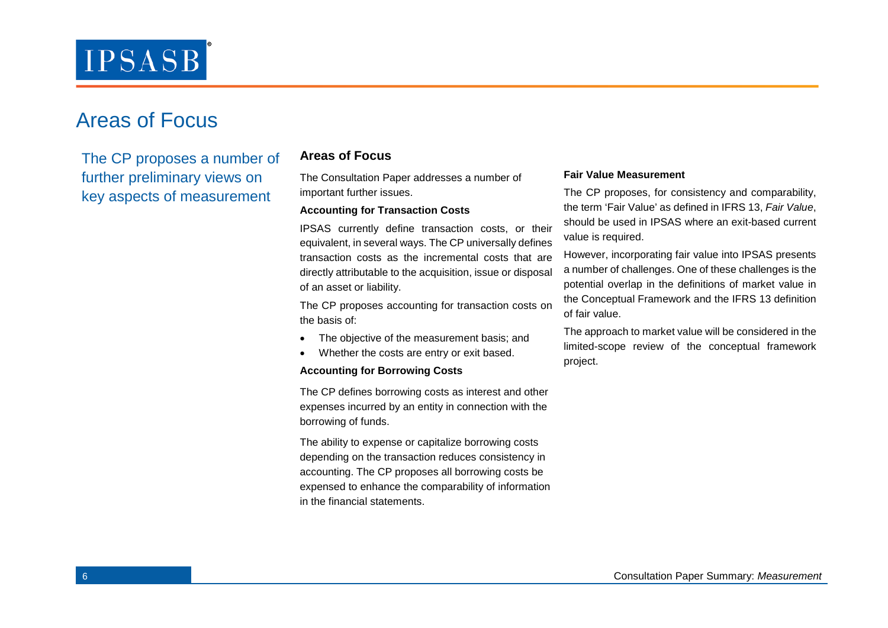## Areas of Focus

The CP proposes a number of further preliminary views on key aspects of measurement

### **Areas of Focus**

The Consultation Paper addresses a number of important further issues.

#### **Accounting for Transaction Costs**

IPSAS currently define transaction costs, or their equivalent, in several ways. The CP universally defines transaction costs as the incremental costs that are directly attributable to the acquisition, issue or disposal of an asset or liability.

The CP proposes accounting for transaction costs on the basis of:

- The objective of the measurement basis; and
- Whether the costs are entry or exit based.

#### **Accounting for Borrowing Costs**

The CP defines borrowing costs as interest and other expenses incurred by an entity in connection with the borrowing of funds.

The ability to expense or capitalize borrowing costs depending on the transaction reduces consistency in accounting. The CP proposes all borrowing costs be expensed to enhance the comparability of information in the financial statements.

#### **Fair Value Measurement**

The CP proposes, for consistency and comparability, the term 'Fair Value' as defined in IFRS 13, *Fair Value*, should be used in IPSAS where an exit-based current value is required.

However, incorporating fair value into IPSAS presents a number of challenges. One of these challenges is the potential overlap in the definitions of market value in the Conceptual Framework and the IFRS 13 definition of fair value.

The approach to market value will be considered in the limited-scope review of the conceptual framework project.